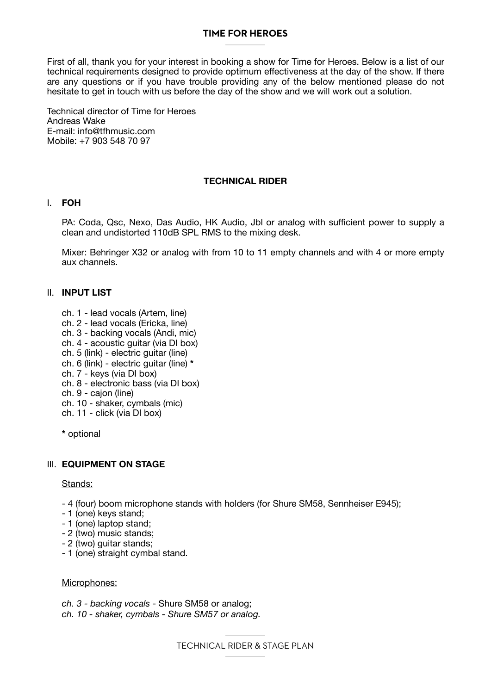### **TIME FOR HEROES**

First of all, thank you for your interest in booking a show for Time for Heroes. Below is a list of our technical requirements designed to provide optimum effectiveness at the day of the show. If there are any questions or if you have trouble providing any of the below mentioned please do not hesitate to get in touch with us before the day of the show and we will work out a solution.

Technical director of Time for Heroes Andreas Wake E-mail: info@tfhmusic.com Mobile: +7 903 548 70 97

### **TECHNICAL RIDER**

### I. **FOH**

PA: Coda, Qsc, Nexo, Das Audio, HK Audio, Jbl or analog with sufficient power to supply a clean and undistorted 110dB SPL RMS to the mixing desk.

Mixer: Behringer X32 or analog with from 10 to 11 empty channels and with 4 or more empty aux channels.

### II. **INPUT LIST**

- ch. 1 lead vocals (Artem, line)
- ch. 2 lead vocals (Ericka, line)
- ch. 3 backing vocals (Andi, mic)
- ch. 4 acoustic guitar (via DI box)
- ch. 5 (link) electric guitar (line)
- ch. 6 (link) electric guitar (line) **\***
- ch. 7 keys (via DI box)
- ch. 8 electronic bass (via DI box)
- ch. 9 cajon (line)
- ch. 10 shaker, cymbals (mic)
- ch. 11 click (via DI box)

**\*** optional

### III. **EQUIPMENT ON STAGE**

#### Stands:

- 4 (four) boom microphone stands with holders (for Shure SM58, Sennheiser E945);
- 1 (one) keys stand;
- 1 (one) laptop stand;
- 2 (two) music stands;
- 2 (two) guitar stands;
- 1 (one) straight cymbal stand.

#### Microphones:

- *ch. 3 backing vocals* Shure SM58 or analog;
- *ch. 10 shaker, cymbals Shure SM57 or analog.*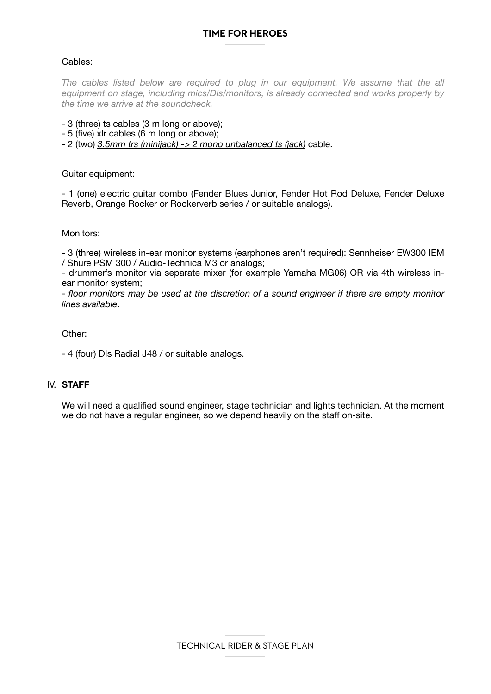# **TIME FOR HEROES**

#### Cables:

The cables listed below are required to plug in our equipment. We assume that the all equipment on stage, including mics/DIs/monitors, is already connected and works properly by *the time we arrive at the soundcheck.*

- 3 (three) ts cables (3 m long or above);
- 5 (five) xlr cables (6 m long or above);
- 2 (two) *3.5mm trs (minijack) -> 2 mono unbalanced ts (jack)* cable.

#### Guitar equipment:

- 1 (one) electric guitar combo (Fender Blues Junior, Fender Hot Rod Deluxe, Fender Deluxe Reverb, Orange Rocker or Rockerverb series / or suitable analogs).

#### Monitors:

- 3 (three) wireless in-ear monitor systems (earphones aren't required): Sennheiser EW300 IEM / Shure PSM 300 / Audio-Technica M3 or analogs;

- drummer's monitor via separate mixer (for example Yamaha MG06) OR via 4th wireless inear monitor system;

- *floor monitors may be used at the discretion of a sound engineer if there are empty monitor lines available*.

#### Other:

- 4 (four) DIs Radial J48 / or suitable analogs.

### IV. **STAFF**

We will need a qualified sound engineer, stage technician and lights technician. At the moment we do not have a regular engineer, so we depend heavily on the staff on-site.